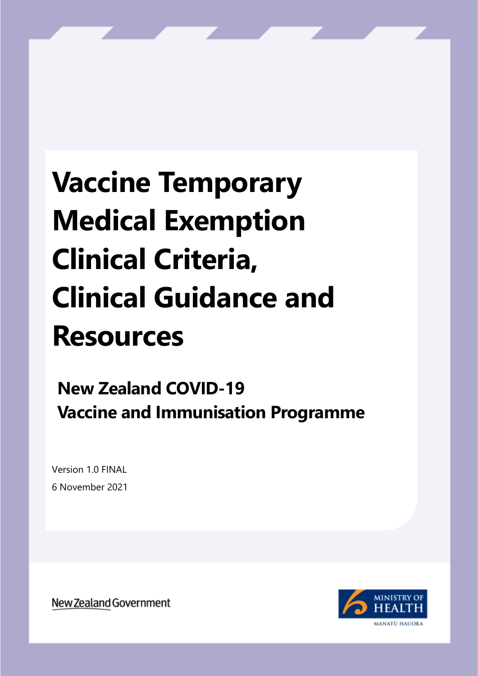# **Vaccine Temporary Medical Exemption Clinical Criteria, Clinical Guidance and Resources**

# **New Zealand COVID-19 Vaccine and Immunisation Programme**

Version 1.0 FINAL 6 November 2021

New Zealand Government

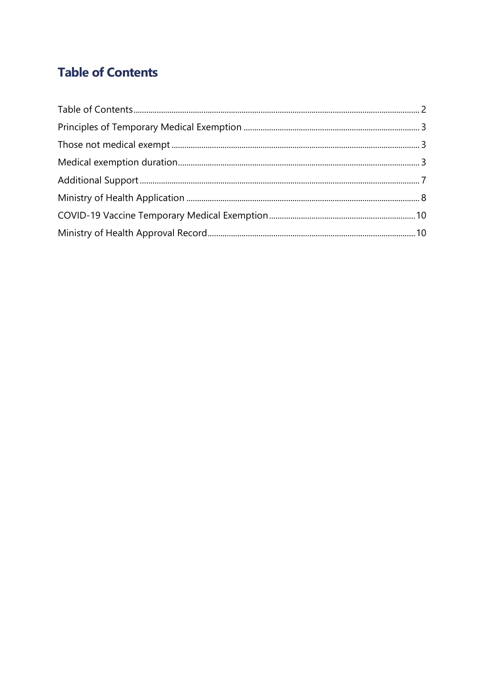### <span id="page-1-0"></span>**Table of Contents**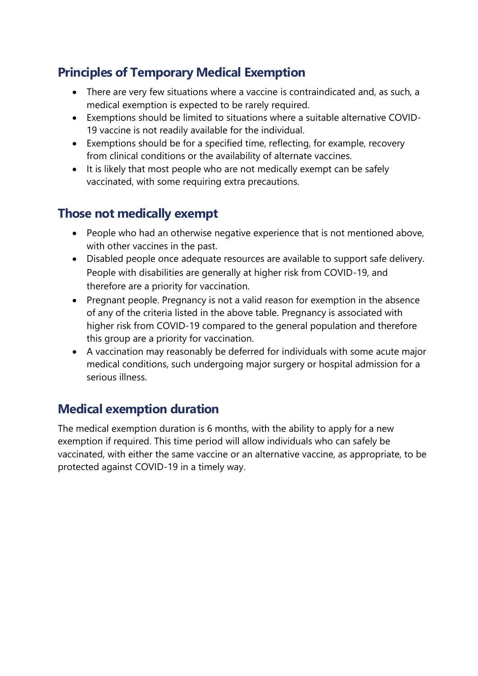#### <span id="page-2-0"></span>**Principles of Temporary Medical Exemption**

- There are very few situations where a vaccine is contraindicated and, as such, a medical exemption is expected to be rarely required.
- Exemptions should be limited to situations where a suitable alternative COVID-19 vaccine is not readily available for the individual.
- Exemptions should be for a specified time, reflecting, for example, recovery from clinical conditions or the availability of alternate vaccines.
- It is likely that most people who are not medically exempt can be safely vaccinated, with some requiring extra precautions.

#### <span id="page-2-1"></span>**Those not medically exempt**

- People who had an otherwise negative experience that is not mentioned above, with other vaccines in the past.
- Disabled people once adequate resources are available to support safe delivery. People with disabilities are generally at higher risk from COVID-19, and therefore are a priority for vaccination.
- Pregnant people. Pregnancy is not a valid reason for exemption in the absence of any of the criteria listed in the above table. Pregnancy is associated with higher risk from COVID-19 compared to the general population and therefore this group are a priority for vaccination.
- A vaccination may reasonably be deferred for individuals with some acute major medical conditions, such undergoing major surgery or hospital admission for a serious illness.

#### <span id="page-2-2"></span>**Medical exemption duration**

The medical exemption duration is 6 months, with the ability to apply for a new exemption if required. This time period will allow individuals who can safely be vaccinated, with either the same vaccine or an alternative vaccine, as appropriate, to be protected against COVID-19 in a timely way.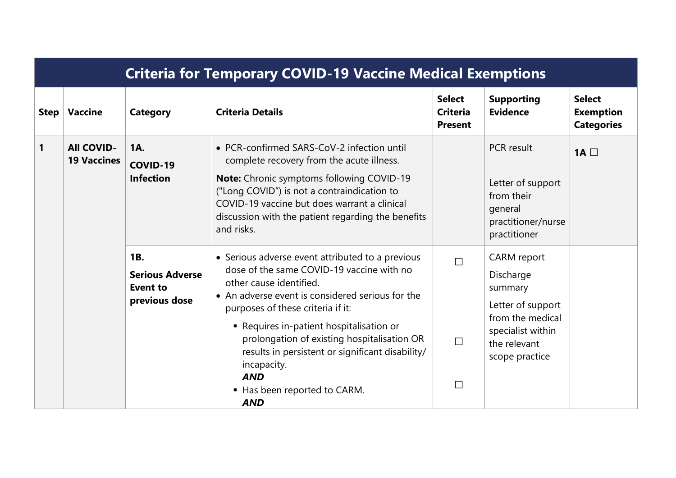|              | <b>Criteria for Temporary COVID-19 Vaccine Medical Exemptions</b> |                                                                          |                                                                                                                                                                                                                                                                                                                                                                                                                                             |                                                    |                                                                                                                                     |                                                        |  |  |  |
|--------------|-------------------------------------------------------------------|--------------------------------------------------------------------------|---------------------------------------------------------------------------------------------------------------------------------------------------------------------------------------------------------------------------------------------------------------------------------------------------------------------------------------------------------------------------------------------------------------------------------------------|----------------------------------------------------|-------------------------------------------------------------------------------------------------------------------------------------|--------------------------------------------------------|--|--|--|
| <b>Step</b>  | <b>Vaccine</b>                                                    | <b>Category</b>                                                          | <b>Criteria Details</b>                                                                                                                                                                                                                                                                                                                                                                                                                     | <b>Select</b><br><b>Criteria</b><br><b>Present</b> | <b>Supporting</b><br><b>Evidence</b>                                                                                                | <b>Select</b><br><b>Exemption</b><br><b>Categories</b> |  |  |  |
| $\mathbf{1}$ | <b>All COVID-</b><br><b>19 Vaccines</b>                           | <b>1A.</b><br><b>COVID-19</b><br><b>Infection</b>                        | • PCR-confirmed SARS-CoV-2 infection until<br>complete recovery from the acute illness.<br><b>Note:</b> Chronic symptoms following COVID-19<br>("Long COVID") is not a contraindication to<br>COVID-19 vaccine but does warrant a clinical<br>discussion with the patient regarding the benefits<br>and risks.                                                                                                                              |                                                    | <b>PCR</b> result<br>Letter of support<br>from their<br>general<br>practitioner/nurse<br>practitioner                               | 1A $\square$                                           |  |  |  |
|              |                                                                   | <b>1B.</b><br><b>Serious Adverse</b><br><b>Event to</b><br>previous dose | • Serious adverse event attributed to a previous<br>dose of the same COVID-19 vaccine with no<br>other cause identified.<br>• An adverse event is considered serious for the<br>purposes of these criteria if it:<br>• Requires in-patient hospitalisation or<br>prolongation of existing hospitalisation OR<br>results in persistent or significant disability/<br>incapacity.<br><b>AND</b><br>■ Has been reported to CARM.<br><b>AND</b> | $\Box$<br>$\Box$<br>$\Box$                         | CARM report<br>Discharge<br>summary<br>Letter of support<br>from the medical<br>specialist within<br>the relevant<br>scope practice |                                                        |  |  |  |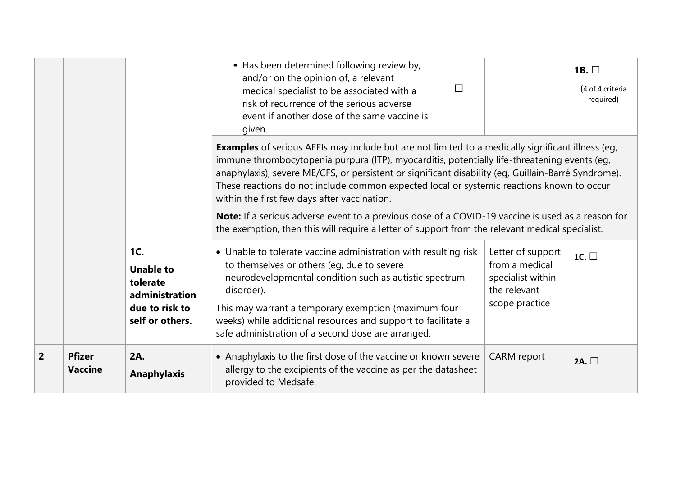|                |                                 |                                                                                            | Has been determined following review by,<br>and/or on the opinion of, a relevant<br>medical specialist to be associated with a<br>risk of recurrence of the serious adverse<br>event if another dose of the same vaccine is<br>given.                                                                                                                                                                                                                                                                                                                                                                                                                                | $\Box$ |                                                                                            | 1B. $\square$<br>(4 of 4 criteria<br>required) |  |  |  |
|----------------|---------------------------------|--------------------------------------------------------------------------------------------|----------------------------------------------------------------------------------------------------------------------------------------------------------------------------------------------------------------------------------------------------------------------------------------------------------------------------------------------------------------------------------------------------------------------------------------------------------------------------------------------------------------------------------------------------------------------------------------------------------------------------------------------------------------------|--------|--------------------------------------------------------------------------------------------|------------------------------------------------|--|--|--|
|                |                                 |                                                                                            | <b>Examples</b> of serious AEFIs may include but are not limited to a medically significant illness (eg,<br>immune thrombocytopenia purpura (ITP), myocarditis, potentially life-threatening events (eg,<br>anaphylaxis), severe ME/CFS, or persistent or significant disability (eg, Guillain-Barré Syndrome).<br>These reactions do not include common expected local or systemic reactions known to occur<br>within the first few days after vaccination.<br>Note: If a serious adverse event to a previous dose of a COVID-19 vaccine is used as a reason for<br>the exemption, then this will require a letter of support from the relevant medical specialist. |        |                                                                                            |                                                |  |  |  |
|                |                                 | 1C.<br><b>Unable to</b><br>tolerate<br>administration<br>due to risk to<br>self or others. | • Unable to tolerate vaccine administration with resulting risk<br>to themselves or others (eg, due to severe<br>neurodevelopmental condition such as autistic spectrum<br>disorder).<br>This may warrant a temporary exemption (maximum four<br>weeks) while additional resources and support to facilitate a<br>safe administration of a second dose are arranged.                                                                                                                                                                                                                                                                                                 |        | Letter of support<br>from a medical<br>specialist within<br>the relevant<br>scope practice | 1C. $\square$                                  |  |  |  |
| $\overline{2}$ | <b>Pfizer</b><br><b>Vaccine</b> | <b>2A.</b><br><b>Anaphylaxis</b>                                                           | • Anaphylaxis to the first dose of the vaccine or known severe<br>allergy to the excipients of the vaccine as per the datasheet<br>provided to Medsafe.                                                                                                                                                                                                                                                                                                                                                                                                                                                                                                              |        | <b>CARM</b> report                                                                         | 2A. $\square$                                  |  |  |  |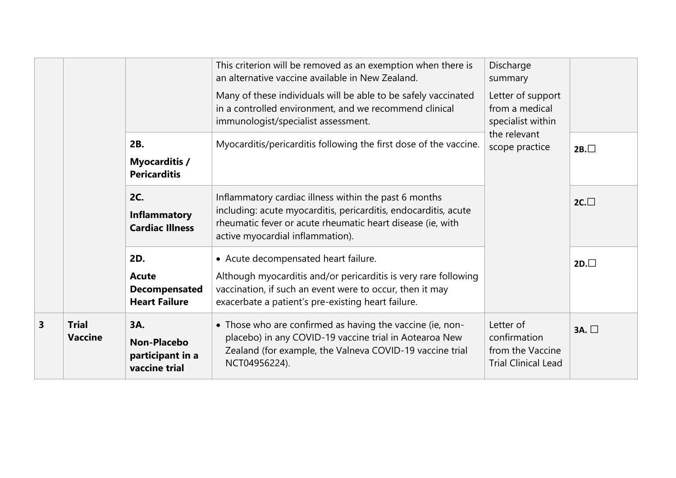|                         |                                |                                                                       | This criterion will be removed as an exemption when there is<br>an alternative vaccine available in New Zealand.                                                                                                           | Discharge<br>summary                                                                       |           |
|-------------------------|--------------------------------|-----------------------------------------------------------------------|----------------------------------------------------------------------------------------------------------------------------------------------------------------------------------------------------------------------------|--------------------------------------------------------------------------------------------|-----------|
|                         |                                |                                                                       | Many of these individuals will be able to be safely vaccinated<br>in a controlled environment, and we recommend clinical<br>immunologist/specialist assessment.                                                            | Letter of support<br>from a medical<br>specialist within<br>the relevant<br>scope practice |           |
|                         |                                | 2B.<br><b>Myocarditis /</b><br><b>Pericarditis</b>                    | Myocarditis/pericarditis following the first dose of the vaccine.                                                                                                                                                          |                                                                                            | 2B.       |
|                         |                                | <b>2C.</b><br>Inflammatory<br><b>Cardiac Illness</b>                  | Inflammatory cardiac illness within the past 6 months<br>including: acute myocarditis, pericarditis, endocarditis, acute<br>rheumatic fever or acute rheumatic heart disease (ie, with<br>active myocardial inflammation). |                                                                                            | $2C.\Box$ |
|                         |                                | 2D.<br><b>Acute</b><br>Decompensated<br><b>Heart Failure</b>          | • Acute decompensated heart failure.<br>Although myocarditis and/or pericarditis is very rare following<br>vaccination, if such an event were to occur, then it may<br>exacerbate a patient's pre-existing heart failure.  |                                                                                            | $2D.\Box$ |
| $\overline{\mathbf{3}}$ | <b>Trial</b><br><b>Vaccine</b> | <b>3A.</b><br><b>Non-Placebo</b><br>participant in a<br>vaccine trial | • Those who are confirmed as having the vaccine (ie, non-<br>placebo) in any COVID-19 vaccine trial in Aotearoa New<br>Zealand (for example, the Valneva COVID-19 vaccine trial<br>NCT04956224).                           | Letter of<br>confirmation<br>from the Vaccine<br><b>Trial Clinical Lead</b>                | 3A.       |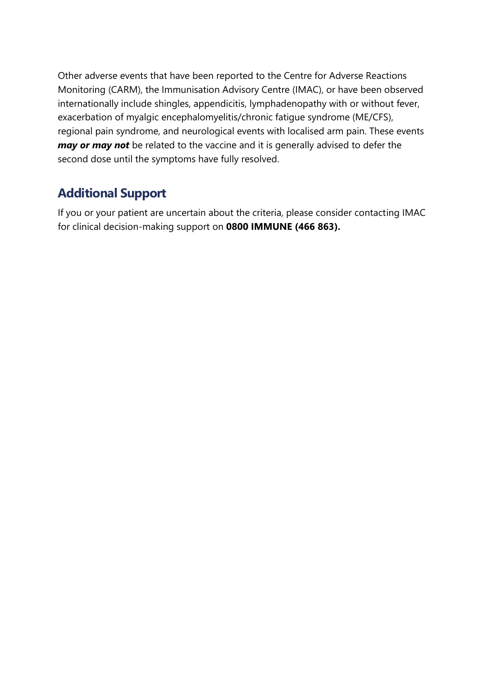Other adverse events that have been reported to the Centre for Adverse Reactions Monitoring (CARM), the Immunisation Advisory Centre (IMAC), or have been observed internationally include shingles, appendicitis, lymphadenopathy with or without fever, exacerbation of myalgic encephalomyelitis/chronic fatigue syndrome (ME/CFS), regional pain syndrome, and neurological events with localised arm pain. These events *may or may not* be related to the vaccine and it is generally advised to defer the second dose until the symptoms have fully resolved.

#### <span id="page-6-0"></span>**Additional Support**

If you or your patient are uncertain about the criteria, please consider contacting IMAC for clinical decision-making support on **0800 IMMUNE (466 863).**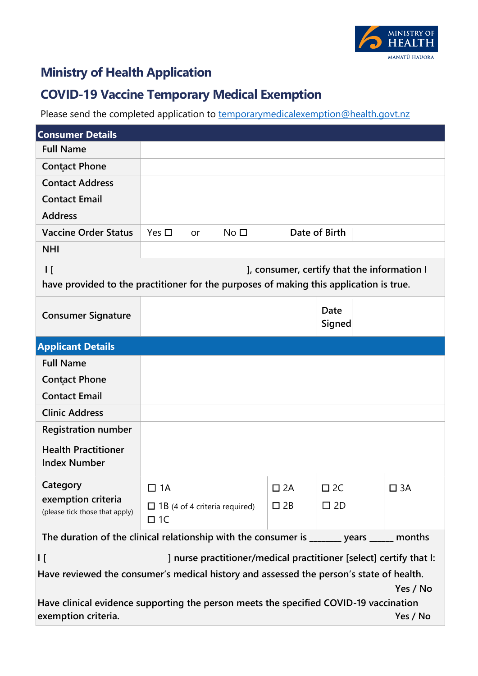

#### <span id="page-7-0"></span>**Ministry of Health Application**

#### **COVID-19 Vaccine Temporary Medical Exemption**

Please send the completed application to **temporarymedicalexemption@health.govt.nz** 

| <b>Consumer Details</b>                                                                             |                                                                                           |              |                                             |              |  |
|-----------------------------------------------------------------------------------------------------|-------------------------------------------------------------------------------------------|--------------|---------------------------------------------|--------------|--|
| <b>Full Name</b>                                                                                    |                                                                                           |              |                                             |              |  |
| <b>Contact Phone</b>                                                                                |                                                                                           |              |                                             |              |  |
| <b>Contact Address</b>                                                                              |                                                                                           |              |                                             |              |  |
| <b>Contact Email</b>                                                                                |                                                                                           |              |                                             |              |  |
| <b>Address</b>                                                                                      |                                                                                           |              |                                             |              |  |
| <b>Vaccine Order Status</b>                                                                         | Yes $\Box$<br>No <sub>1</sub><br>or                                                       |              | Date of Birth                               |              |  |
| <b>NHI</b>                                                                                          |                                                                                           |              |                                             |              |  |
| $\mathsf{I}$                                                                                        | have provided to the practitioner for the purposes of making this application is true.    |              | ], consumer, certify that the information I |              |  |
| <b>Consumer Signature</b>                                                                           |                                                                                           |              | Date<br>Signed                              |              |  |
| <b>Applicant Details</b>                                                                            |                                                                                           |              |                                             |              |  |
| <b>Full Name</b>                                                                                    |                                                                                           |              |                                             |              |  |
| <b>Contact Phone</b>                                                                                |                                                                                           |              |                                             |              |  |
| <b>Contact Email</b>                                                                                |                                                                                           |              |                                             |              |  |
| <b>Clinic Address</b>                                                                               |                                                                                           |              |                                             |              |  |
| <b>Registration number</b>                                                                          |                                                                                           |              |                                             |              |  |
| <b>Health Practitioner</b><br><b>Index Number</b>                                                   |                                                                                           |              |                                             |              |  |
| Category                                                                                            | $\Box$ 1A                                                                                 | $\square$ 2A | $\square$ 2C                                | $\square$ 3A |  |
| exemption criteria<br>(please tick those that apply)                                                | $\Box$ 1B (4 of 4 criteria required)<br>$\Box$ 1C                                         | $\square$ 2B | $\square$ 2D                                |              |  |
|                                                                                                     | The duration of the clinical relationship with the consumer is _______ years _____ months |              |                                             |              |  |
| I [                                                                                                 | ] nurse practitioner/medical practitioner [select] certify that I:                        |              |                                             |              |  |
| Have reviewed the consumer's medical history and assessed the person's state of health.<br>Yes / No |                                                                                           |              |                                             |              |  |
| exemption criteria.                                                                                 | Have clinical evidence supporting the person meets the specified COVID-19 vaccination     |              |                                             | Yes / No     |  |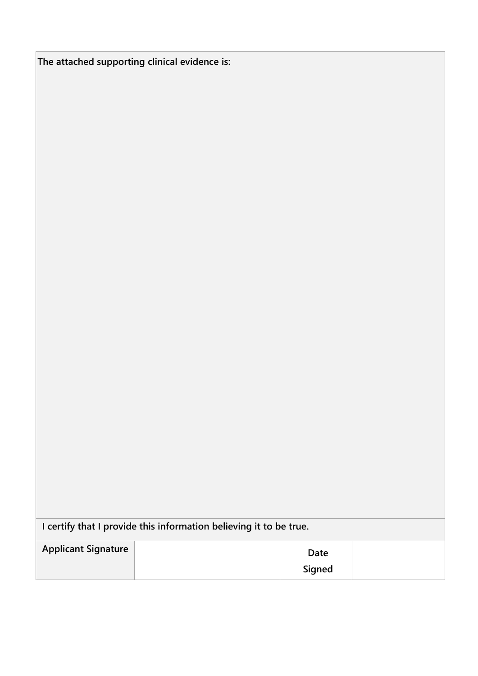| The attached supporting clinical evidence is: |  |  |
|-----------------------------------------------|--|--|
|                                               |  |  |

| I certify that I provide this information believing it to be true. |  |        |  |  |  |
|--------------------------------------------------------------------|--|--------|--|--|--|
| <b>Applicant Signature</b>                                         |  | Date   |  |  |  |
|                                                                    |  | Signed |  |  |  |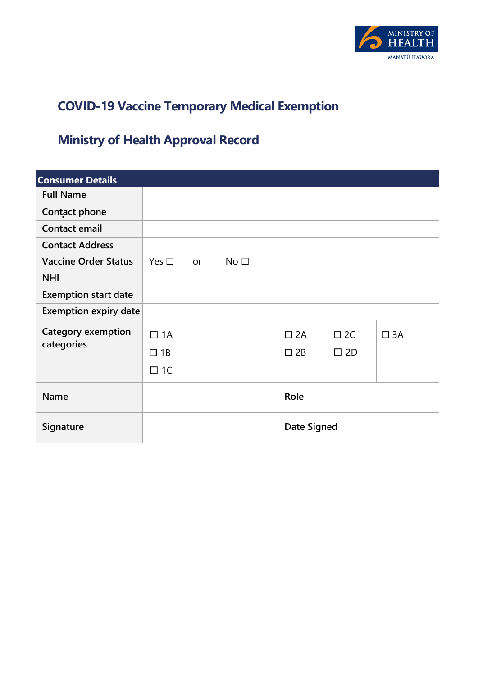

## <span id="page-9-0"></span>**COVID-19 Vaccine Temporary Medical Exemption**

# <span id="page-9-1"></span>**Ministry of Health Approval Record**

| <b>Consumer Details</b>      |               |    |                 |              |              |              |
|------------------------------|---------------|----|-----------------|--------------|--------------|--------------|
| <b>Full Name</b>             |               |    |                 |              |              |              |
| Contact phone                |               |    |                 |              |              |              |
| Contact email                |               |    |                 |              |              |              |
| <b>Contact Address</b>       |               |    |                 |              |              |              |
| <b>Vaccine Order Status</b>  | Yes $\square$ | or | No <sub>1</sub> |              |              |              |
| <b>NHI</b>                   |               |    |                 |              |              |              |
| <b>Exemption start date</b>  |               |    |                 |              |              |              |
| <b>Exemption expiry date</b> |               |    |                 |              |              |              |
| Category exemption           | $\Box$ 1A     |    |                 | $\square$ 2A | $\square$ 2C | $\square$ 3A |
| categories                   | $\Box$ 1B     |    |                 | $\square$ 2B | $\square$ 2D |              |
|                              | $\Box$ 1C     |    |                 |              |              |              |
| <b>Name</b>                  |               |    |                 | Role         |              |              |
| Signature                    |               |    |                 | Date Signed  |              |              |